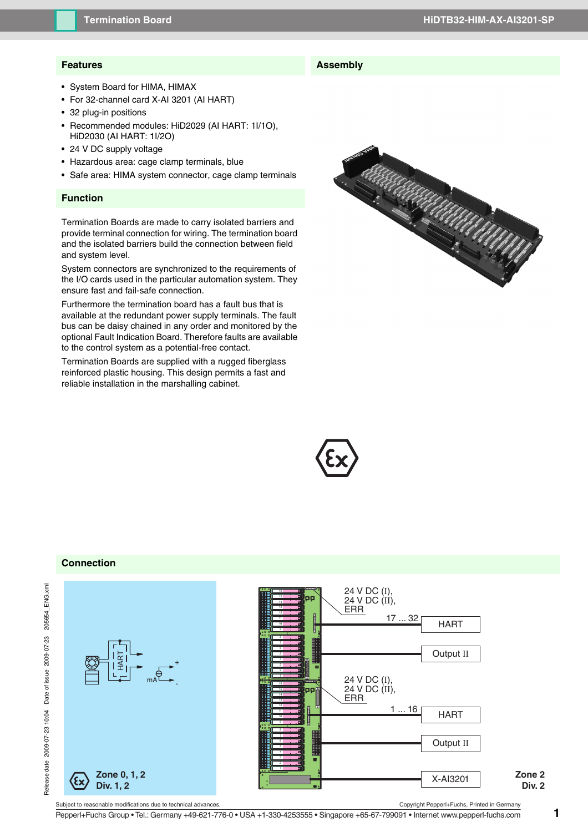# **Features**

- System Board for HIMA, HIMAX
- For 32-channel card X-AI 3201 (AI HART)
- 32 plug-in positions
- Recommended modules: HiD2029 (AI HART: 1I/1O), HiD2030 (AI HART: 1I/2O)
- 24 V DC supply voltage
- Hazardous area: cage clamp terminals, blue
- Safe area: HIMA system connector, cage clamp terminals

### **Function**

Termination Boards are made to carry isolated barriers and provide terminal connection for wiring. The termination board and the isolated barriers build the connection between field and system level.

System connectors are synchronized to the requirements of the I/O cards used in the particular automation system. They ensure fast and fail-safe connection.

Furthermore the termination board has a fault bus that is available at the redundant power supply terminals. The fault bus can be daisy chained in any order and monitored by the optional Fault Indication Board. Therefore faults are available to the control system as a potential-free contact.

Termination Boards are supplied with a rugged fiberglass reinforced plastic housing. This design permits a fast and reliable installation in the marshalling cabinet.





**Assembly**

#### **Connection**



Pepperl+Fuchs Group • Tel.: Germany +49-621-776-0 • USA +1-330-4253555 • Singapore +65-67-799091 • Internet www.pepperl-fuchs.com **1**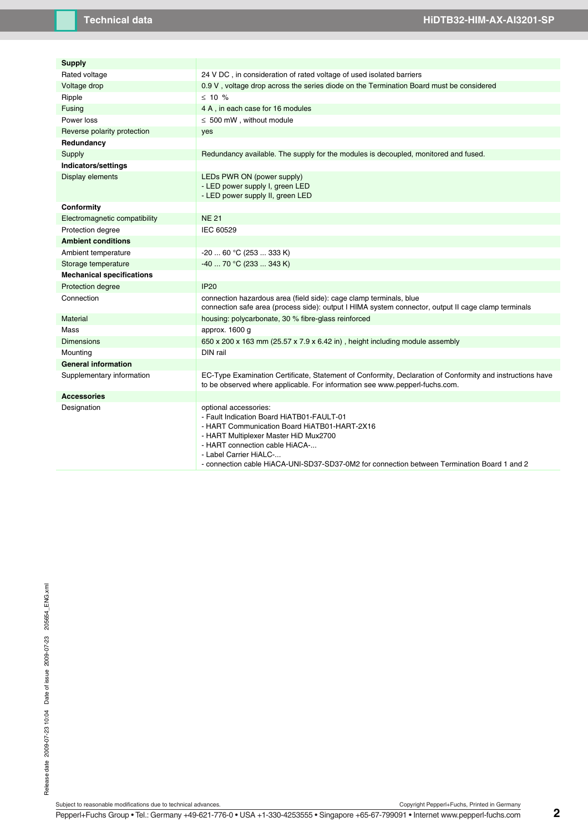| <b>Supply</b>                    |                                                                                                                                                                                                                         |
|----------------------------------|-------------------------------------------------------------------------------------------------------------------------------------------------------------------------------------------------------------------------|
| Rated voltage                    | 24 V DC, in consideration of rated voltage of used isolated barriers                                                                                                                                                    |
| Voltage drop                     | 0.9 V, voltage drop across the series diode on the Termination Board must be considered                                                                                                                                 |
| Ripple                           | $\leq$ 10 %                                                                                                                                                                                                             |
| Fusing                           | 4 A, in each case for 16 modules                                                                                                                                                                                        |
| Power loss                       | $\leq 500$ mW, without module                                                                                                                                                                                           |
| Reverse polarity protection      | yes                                                                                                                                                                                                                     |
| Redundancy                       |                                                                                                                                                                                                                         |
| Supply                           | Redundancy available. The supply for the modules is decoupled, monitored and fused.                                                                                                                                     |
| Indicators/settings              |                                                                                                                                                                                                                         |
| Display elements                 | LEDs PWR ON (power supply)<br>- LED power supply I, green LED<br>- LED power supply II, green LED                                                                                                                       |
| Conformity                       |                                                                                                                                                                                                                         |
| Electromagnetic compatibility    | <b>NE 21</b>                                                                                                                                                                                                            |
| Protection degree                | IEC 60529                                                                                                                                                                                                               |
| <b>Ambient conditions</b>        |                                                                                                                                                                                                                         |
| Ambient temperature              | $-20$ 60 °C (253  333 K)                                                                                                                                                                                                |
| Storage temperature              | -40  70 °C (233  343 K)                                                                                                                                                                                                 |
| <b>Mechanical specifications</b> |                                                                                                                                                                                                                         |
| Protection degree                | <b>IP20</b>                                                                                                                                                                                                             |
| Connection                       | connection hazardous area (field side): cage clamp terminals, blue<br>connection safe area (process side): output I HIMA system connector, output II cage clamp terminals                                               |
| Material                         | housing: polycarbonate, 30 % fibre-glass reinforced                                                                                                                                                                     |
| Mass                             | approx. 1600 g                                                                                                                                                                                                          |
| Dimensions                       | 650 x 200 x 163 mm (25.57 x 7.9 x 6.42 in), height including module assembly                                                                                                                                            |
| Mounting                         | DIN rail                                                                                                                                                                                                                |
| <b>General information</b>       |                                                                                                                                                                                                                         |
| Supplementary information        | EC-Type Examination Certificate, Statement of Conformity, Declaration of Conformity and instructions have<br>to be observed where applicable. For information see www.pepperl-fuchs.com.                                |
| <b>Accessories</b>               |                                                                                                                                                                                                                         |
| Designation                      | optional accessories:<br>- Fault Indication Board HiATB01-FAULT-01<br>- HART Communication Board HiATB01-HART-2X16<br>- HART Multiplexer Master HiD Mux2700<br>- HART connection cable HiACA-<br>- Label Carrier HiALC- |

- connection cable HiACA-UNI-SD37-SD37-0M2 for connection between Termination Board 1 and 2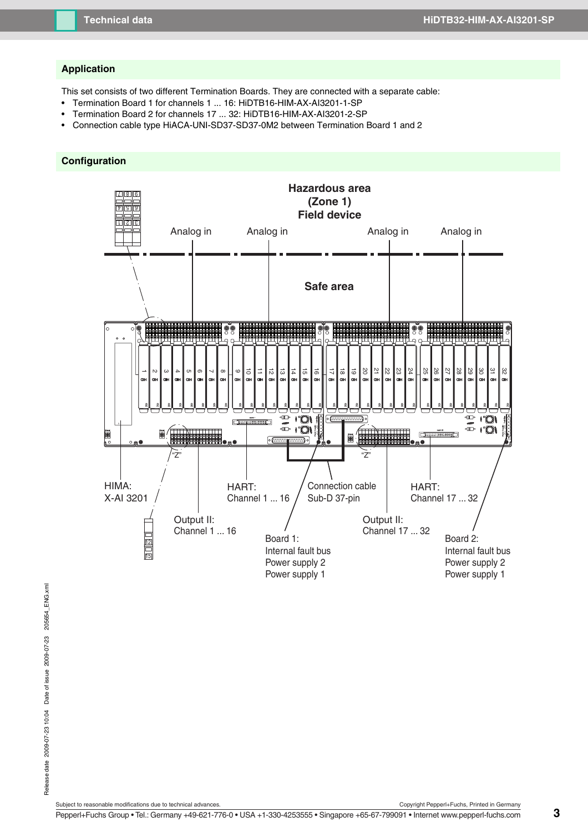#### **Application**

This set consists of two different Termination Boards. They are connected with a separate cable:

- Termination Board 1 for channels 1 ... 16: HiDTB16-HIM-AX-AI3201-1-SP
- Termination Board 2 for channels 17 ... 32: HiDTB16-HIM-AX-AI3201-2-SP
- Connection cable type HiACA-UNI-SD37-SD37-0M2 between Termination Board 1 and 2

### **Configuration**